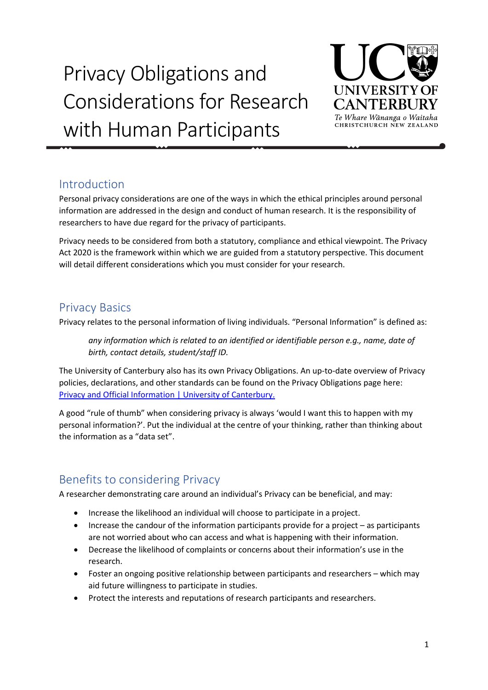# Privacy Obligations and Considerations for Research with Human Participants



### Introduction

Personal privacy considerations are one of the ways in which the ethical principles around personal information are addressed in the design and conduct of human research. It is the responsibility of researchers to have due regard for the privacy of participants.

Privacy needs to be considered from both a statutory, compliance and ethical viewpoint. The Privacy Act 2020 is the framework within which we are guided from a statutory perspective. This document will detail different considerations which you must consider for your research.

### Privacy Basics

Privacy relates to the personal information of living individuals. "Personal Information" is defined as:

*any information which is related to an identified or identifiable person e.g., name, date of birth, contact details, student/staff ID.* 

The University of Canterbury also has its own Privacy Obligations. An up-to-date overview of Privacy policies, declarations, and other standards can be found on the Privacy Obligations page here: Privacy [and Official Information | University of Canterbury.](https://www.canterbury.ac.nz/privacy/)

A good "rule of thumb" when considering privacy is always 'would I want this to happen with my personal information?'. Put the individual at the centre of your thinking, rather than thinking about the information as a "data set".

# Benefits to considering Privacy

A researcher demonstrating care around an individual's Privacy can be beneficial, and may:

- Increase the likelihood an individual will choose to participate in a project.
- Increase the candour of the information participants provide for a project as participants are not worried about who can access and what is happening with their information.
- Decrease the likelihood of complaints or concerns about their information's use in the research.
- Foster an ongoing positive relationship between participants and researchers which may aid future willingness to participate in studies.
- Protect the interests and reputations of research participants and researchers.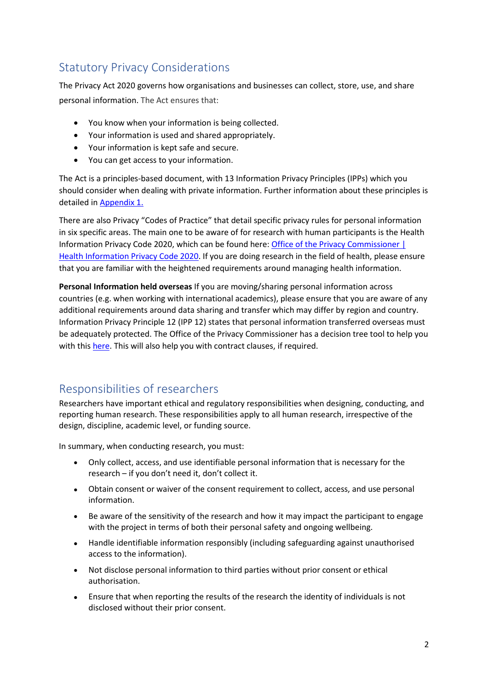# Statutory Privacy Considerations

The Privacy Act 2020 governs how organisations and businesses can collect, store, use, and share personal information. The Act ensures that:

- You know when your information is being collected.
- Your information is used and shared appropriately.
- Your information is kept safe and secure.
- You can get access to your information.

The Act is a principles-based document, with 13 Information Privacy Principles (IPPs) which you should consider when dealing with private information. Further information about these principles is detailed in [Appendix 1.](#page-7-0)

There are also Privacy "Codes of Practice" that detail specific privacy rules for personal information in six specific areas. The main one to be aware of for research with human participants is the Health Information Privacy Code 2020, which can be found here: Office of the Privacy Commissioner | [Health Information Privacy Code 2020.](https://www.privacy.org.nz/privacy-act-2020/codes-of-practice/hipc2020/) If you are doing research in the field of health, please ensure that you are familiar with the heightened requirements around managing health information.

**Personal Information held overseas** If you are moving/sharing personal information across countries (e.g. when working with international academics), please ensure that you are aware of any additional requirements around data sharing and transfer which may differ by region and country. Information Privacy Principle 12 (IPP 12) states that personal information transferred overseas must be adequately protected. The Office of the Privacy Commissioner has a decision tree tool to help you with this [here.](https://www.privacy.org.nz/responsibilities/disclosing-personal-information-outside-new-zealand/decision-tree-page/?decisionpathway=5%2C3%2C2%2C1) This will also help you with contract clauses, if required.

# Responsibilities of researchers

Researchers have important ethical and regulatory responsibilities when designing, conducting, and reporting human research. These responsibilities apply to all human research, irrespective of the design, discipline, academic level, or funding source.

In summary, when conducting research, you must:

- Only collect, access, and use identifiable personal information that is necessary for the research – if you don't need it, don't collect it.
- Obtain consent or waiver of the consent requirement to collect, access, and use personal information.
- Be aware of the sensitivity of the research and how it may impact the participant to engage with the project in terms of both their personal safety and ongoing wellbeing.
- Handle identifiable information responsibly (including safeguarding against unauthorised access to the information).
- Not disclose personal information to third parties without prior consent or ethical authorisation.
- Ensure that when reporting the results of the research the identity of individuals is not disclosed without their prior consent.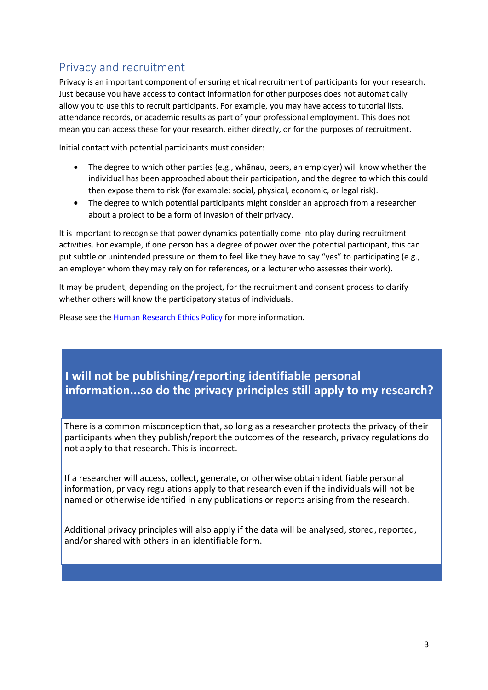# Privacy and recruitment

Privacy is an important component of ensuring ethical recruitment of participants for your research. Just because you have access to contact information for other purposes does not automatically allow you to use this to recruit participants. For example, you may have access to tutorial lists, attendance records, or academic results as part of your professional employment. This does not mean you can access these for your research, either directly, or for the purposes of recruitment.

Initial contact with potential participants must consider:

- The degree to which other parties (e.g., whānau, peers, an employer) will know whether the individual has been approached about their participation, and the degree to which this could then expose them to risk (for example: social, physical, economic, or legal risk).
- The degree to which potential participants might consider an approach from a researcher about a project to be a form of invasion of their privacy.

It is important to recognise that power dynamics potentially come into play during recruitment activities. For example, if one person has a degree of power over the potential participant, this can put subtle or unintended pressure on them to feel like they have to say "yes" to participating (e.g., an employer whom they may rely on for references, or a lecturer who assesses their work).

It may be prudent, depending on the project, for the recruitment and consent process to clarify whether others will know the participatory status of individuals.

Please see the **Human Research Ethics Policy** for more information.

# **I will not be publishing/reporting identifiable personal information...so do the privacy principles still apply to my research?**

There is a common misconception that, so long as a researcher protects the privacy of their participants when they publish/report the outcomes of the research, privacy regulations do not apply to that research. This is incorrect.

If a researcher will access, collect, generate, or otherwise obtain identifiable personal information, privacy regulations apply to that research even if the individuals will not be named or otherwise identified in any publications or reports arising from the research.

Additional privacy principles will also apply if the data will be analysed, stored, reported, and/or shared with others in an identifiable form.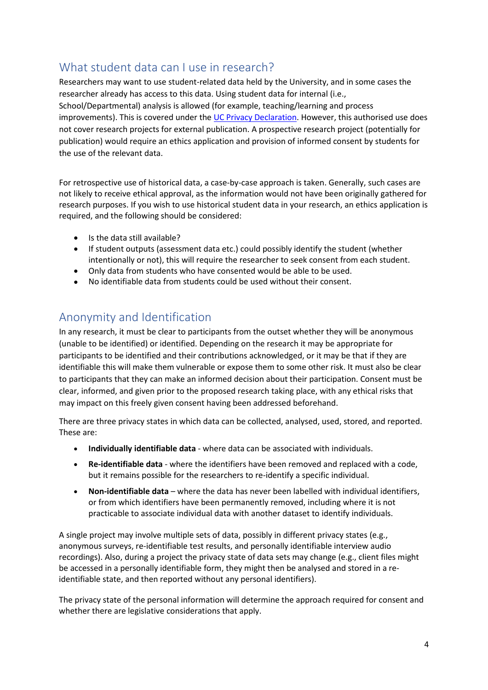# What student data can I use in research?

Researchers may want to use student-related data held by the University, and in some cases the researcher already has access to this data. Using student data for internal (i.e., School/Departmental) analysis is allowed (for example, teaching/learning and process improvements). This is covered under th[e UC Privacy Declaration.](https://www.canterbury.ac.nz/media/images/information-and-records-management/privacy/Privacy-Declaration.pdf) However, this authorised use does not cover research projects for external publication. A prospective research project (potentially for publication) would require an ethics application and provision of informed consent by students for the use of the relevant data.

For retrospective use of historical data, a case-by-case approach is taken. Generally, such cases are not likely to receive ethical approval, as the information would not have been originally gathered for research purposes. If you wish to use historical student data in your research, an ethics application is required, and the following should be considered:

- Is the data still available?
- If student outputs (assessment data etc.) could possibly identify the student (whether intentionally or not), this will require the researcher to seek consent from each student.
- Only data from students who have consented would be able to be used.
- No identifiable data from students could be used without their consent.

### Anonymity and Identification

In any research, it must be clear to participants from the outset whether they will be anonymous (unable to be identified) or identified. Depending on the research it may be appropriate for participants to be identified and their contributions acknowledged, or it may be that if they are identifiable this will make them vulnerable or expose them to some other risk. It must also be clear to participants that they can make an informed decision about their participation. Consent must be clear, informed, and given prior to the proposed research taking place, with any ethical risks that may impact on this freely given consent having been addressed beforehand.

There are three privacy states in which data can be collected, analysed, used, stored, and reported. These are:

- **Individually identifiable data** where data can be associated with individuals.
- **Re-identifiable data** where the identifiers have been removed and replaced with a code, but it remains possible for the researchers to re-identify a specific individual.
- **Non-identifiable data** where the data has never been labelled with individual identifiers, or from which identifiers have been permanently removed, including where it is not practicable to associate individual data with another dataset to identify individuals.

A single project may involve multiple sets of data, possibly in different privacy states (e.g., anonymous surveys, re-identifiable test results, and personally identifiable interview audio recordings). Also, during a project the privacy state of data sets may change (e.g., client files might be accessed in a personally identifiable form, they might then be analysed and stored in a reidentifiable state, and then reported without any personal identifiers).

The privacy state of the personal information will determine the approach required for consent and whether there are legislative considerations that apply.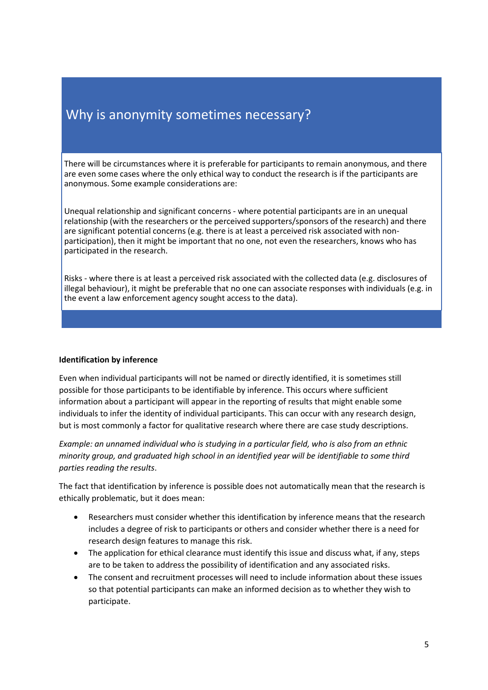# Why is anonymity sometimes necessary?

There will be circumstances where it is preferable for participants to remain anonymous, and there are even some cases where the only ethical way to conduct the research is if the participants are anonymous. Some example considerations are:

Unequal relationship and significant concerns - where potential participants are in an unequal relationship (with the researchers or the perceived supporters/sponsors of the research) and there are significant potential concerns (e.g. there is at least a perceived risk associated with nonparticipation), then it might be important that no one, not even the researchers, knows who has participated in the research.

Risks - where there is at least a perceived risk associated with the collected data (e.g. disclosures of illegal behaviour), it might be preferable that no one can associate responses with individuals (e.g. in the event a law enforcement agency sought access to the data).

#### **Identification by inference**

Even when individual participants will not be named or directly identified, it is sometimes still possible for those participants to be identifiable by inference. This occurs where sufficient information about a participant will appear in the reporting of results that might enable some individuals to infer the identity of individual participants. This can occur with any research design, but is most commonly a factor for qualitative research where there are case study descriptions.

*Example: an unnamed individual who is studying in a particular field, who is also from an ethnic minority group, and graduated high school in an identified year will be identifiable to some third parties reading the results*.

The fact that identification by inference is possible does not automatically mean that the research is ethically problematic, but it does mean:

- Researchers must consider whether this identification by inference means that the research includes a degree of risk to participants or others and consider whether there is a need for research design features to manage this risk.
- The application for ethical clearance must identify this issue and discuss what, if any, steps are to be taken to address the possibility of identification and any associated risks.
- The consent and recruitment processes will need to include information about these issues so that potential participants can make an informed decision as to whether they wish to participate.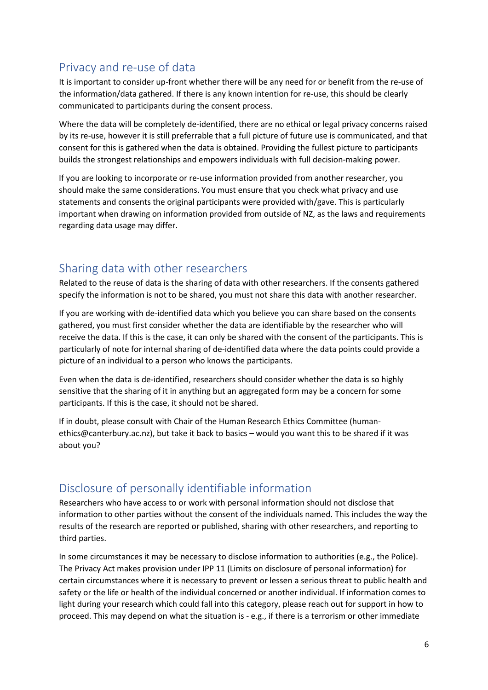# Privacy and re-use of data

It is important to consider up-front whether there will be any need for or benefit from the re-use of the information/data gathered. If there is any known intention for re-use, this should be clearly communicated to participants during the consent process.

Where the data will be completely de-identified, there are no ethical or legal privacy concerns raised by its re-use, however it is still preferrable that a full picture of future use is communicated, and that consent for this is gathered when the data is obtained. Providing the fullest picture to participants builds the strongest relationships and empowers individuals with full decision-making power.

If you are looking to incorporate or re-use information provided from another researcher, you should make the same considerations. You must ensure that you check what privacy and use statements and consents the original participants were provided with/gave. This is particularly important when drawing on information provided from outside of NZ, as the laws and requirements regarding data usage may differ.

# Sharing data with other researchers

Related to the reuse of data is the sharing of data with other researchers. If the consents gathered specify the information is not to be shared, you must not share this data with another researcher.

If you are working with de-identified data which you believe you can share based on the consents gathered, you must first consider whether the data are identifiable by the researcher who will receive the data. If this is the case, it can only be shared with the consent of the participants. This is particularly of note for internal sharing of de-identified data where the data points could provide a picture of an individual to a person who knows the participants.

Even when the data is de-identified, researchers should consider whether the data is so highly sensitive that the sharing of it in anything but an aggregated form may be a concern for some participants. If this is the case, it should not be shared.

If in doubt, please consult with Chair of the Human Research Ethics Committee (humanethics@canterbury.ac.nz), but take it back to basics – would you want this to be shared if it was about you?

# Disclosure of personally identifiable information

Researchers who have access to or work with personal information should not disclose that information to other parties without the consent of the individuals named. This includes the way the results of the research are reported or published, sharing with other researchers, and reporting to third parties.

In some circumstances it may be necessary to disclose information to authorities (e.g., the Police). The Privacy Act makes provision under IPP 11 (Limits on disclosure of personal information) for certain circumstances where it is necessary to prevent or lessen a serious threat to public health and safety or the life or health of the individual concerned or another individual. If information comes to light during your research which could fall into this category, please reach out for support in how to proceed. This may depend on what the situation is - e.g., if there is a terrorism or other immediate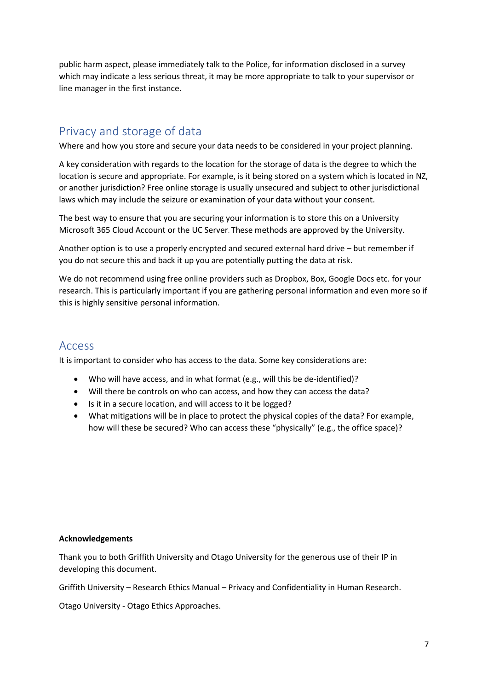public harm aspect, please immediately talk to the Police, for information disclosed in a survey which may indicate a less serious threat, it may be more appropriate to talk to your supervisor or line manager in the first instance.

## Privacy and storage of data

Where and how you store and secure your data needs to be considered in your project planning.

A key consideration with regards to the location for the storage of data is the degree to which the location is secure and appropriate. For example, is it being stored on a system which is located in NZ, or another jurisdiction? Free online storage is usually unsecured and subject to other jurisdictional laws which may include the seizure or examination of your data without your consent.

The best way to ensure that you are securing your information is to store this on a University Microsoft 365 Cloud Account or the UC Server. These methods are approved by the University.

Another option is to use a properly encrypted and secured external hard drive – but remember if you do not secure this and back it up you are potentially putting the data at risk.

We do not recommend using free online providers such as Dropbox, Box, Google Docs etc. for your research. This is particularly important if you are gathering personal information and even more so if this is highly sensitive personal information.

### Access

It is important to consider who has access to the data. Some key considerations are:

- Who will have access, and in what format (e.g., will this be de-identified)?
- Will there be controls on who can access, and how they can access the data?
- Is it in a secure location, and will access to it be logged?
- What mitigations will be in place to protect the physical copies of the data? For example, how will these be secured? Who can access these "physically" (e.g., the office space)?

#### **Acknowledgements**

Thank you to both Griffith University and Otago University for the generous use of their IP in developing this document.

Griffith University – Research Ethics Manual – Privacy and Confidentiality in Human Research.

Otago University - Otago Ethics Approaches.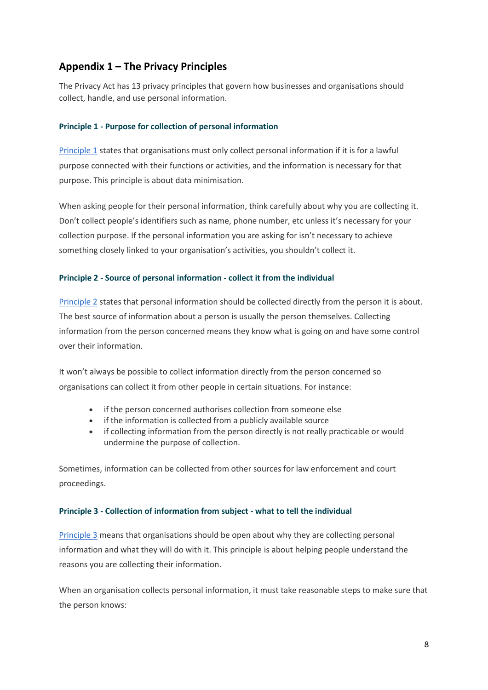### **Appendix 1 – The Privacy Principles**

The Privacy Act has 13 privacy principles that govern how businesses and organisations should collect, handle, and use personal information.

#### <span id="page-7-0"></span>**Principle 1 - Purpose for collection of personal information**

[Principle 1](http://www.legislation.govt.nz/act/public/2020/0031/latest/LMS23376.html) states that organisations must only collect personal information if it is for a lawful purpose connected with their functions or activities, and the information is necessary for that purpose. This principle is about data minimisation.

When asking people for their personal information, think carefully about why you are collecting it. Don't collect people's identifiers such as name, phone number, etc unless it's necessary for your collection purpose. If the personal information you are asking for isn't necessary to achieve something closely linked to your organisation's activities, you shouldn't collect it.

#### **Principle 2 - Source of personal information - collect it from the individual**

[Principle 2](https://www.legislation.govt.nz/act/public/2020/0031/latest/LMS23376.html) states that personal information should be collected directly from the person it is about. The best source of information about a person is usually the person themselves. Collecting information from the person concerned means they know what is going on and have some control over their information.

It won't always be possible to collect information directly from the person concerned so organisations can collect it from other people in certain situations. For instance:

- if the person concerned authorises collection from someone else
- if the information is collected from a publicly available source
- if collecting information from the person directly is not really practicable or would undermine the purpose of collection.

Sometimes, information can be collected from other sources for law enforcement and court proceedings.

#### **Principle 3 - Collection of information from subject - what to tell the individual**

[Principle 3](http://www.legislation.govt.nz/act/public/2020/0031/latest/LMS23376.html) means that organisations should be open about why they are collecting personal information and what they will do with it. This principle is about helping people understand the reasons you are collecting their information.

When an organisation collects personal information, it must take reasonable steps to make sure that the person knows: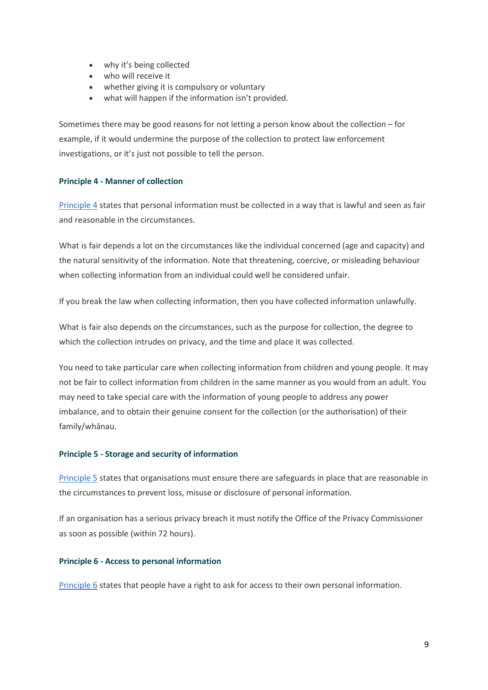- why it's being collected
- who will receive it
- whether giving it is compulsory or voluntary
- what will happen if the information isn't provided.

Sometimes there may be good reasons for not letting a person know about the collection – for example, if it would undermine the purpose of the collection to protect law enforcement investigations, or it's just not possible to tell the person.

#### **Principle 4 - Manner of collection**

[Principle 4](http://www.legislation.govt.nz/act/public/2020/0031/latest/LMS23376.html) states that personal information must be collected in a way that is lawful and seen as fair and reasonable in the circumstances.

What is fair depends a lot on the circumstances like the individual concerned (age and capacity) and the natural sensitivity of the information. Note that threatening, coercive, or misleading behaviour when collecting information from an individual could well be considered unfair.

If you break the law when collecting information, then you have collected information unlawfully.

What is fair also depends on the circumstances, such as the purpose for collection, the degree to which the collection intrudes on privacy, and the time and place it was collected.

You need to take particular care when collecting information from children and young people. It may not be fair to collect information from children in the same manner as you would from an adult. You may need to take special care with the information of young people to address any power imbalance, and to obtain their genuine consent for the collection (or the authorisation) of their family/whānau.

#### **Principle 5 - Storage and security of information**

[Principle 5](http://www.legislation.govt.nz/act/public/2020/0031/latest/LMS23376.html) states that organisations must ensure there are safeguards in place that are reasonable in the circumstances to prevent loss, misuse or disclosure of personal information.

If an organisation has a serious privacy breach it must notify the Office of the Privacy Commissioner as soon as possible (within 72 hours).

#### **Principle 6 - Access to personal information**

[Principle 6](http://www.legislation.govt.nz/act/public/2020/0031/latest/LMS23342.html) states that people have a right to ask for access to their own personal information.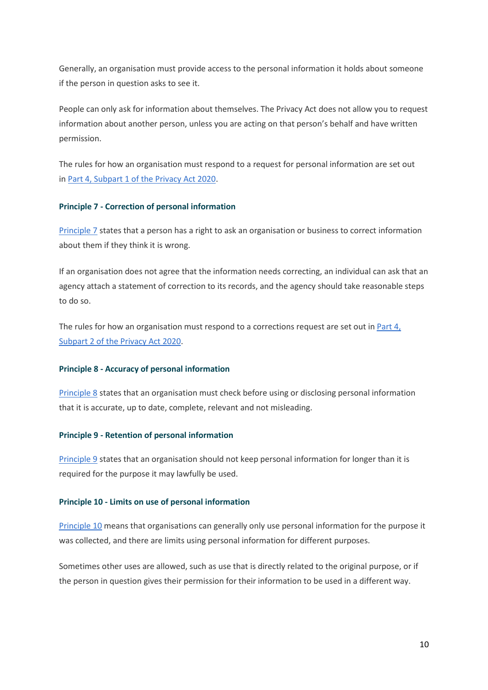Generally, an organisation must provide access to the personal information it holds about someone if the person in question asks to see it.

People can only ask for information about themselves. The Privacy Act does not allow you to request information about another person, unless you are acting on that person's behalf and have written permission.

The rules for how an organisation must respond to a request for personal information are set out in [Part 4, Subpart 1 of the Privacy Act 2020.](http://www.legislation.govt.nz/act/public/2020/0031/latest/whole.html#LMS23405)

#### **Principle 7 - Correction of personal information**

[Principle 7](http://www.legislation.govt.nz/act/public/2020/0031/latest/whole.html) states that a person has a right to ask an organisation or business to correct information about them if they think it is wrong.

If an organisation does not agree that the information needs correcting, an individual can ask that an agency attach a statement of correction to its records, and the agency should take reasonable steps to do so.

The rules for how an organisation must respond to a corrections request are set out in [Part 4,](http://www.legislation.govt.nz/act/public/2020/0031/latest/whole.html#LMS23417)  [Subpart 2 of the Privacy Act 2020.](http://www.legislation.govt.nz/act/public/2020/0031/latest/whole.html#LMS23417)

#### **Principle 8 - Accuracy of personal information**

[Principle 8](http://www.legislation.govt.nz/act/public/2020/0031/latest/whole.html) states that an organisation must check before using or disclosing personal information that it is accurate, up to date, complete, relevant and not misleading.

#### **Principle 9 - Retention of personal information**

[Principle 9](http://www.legislation.govt.nz/act/public/2020/0031/latest/whole.html) states that an organisation should not keep personal information for longer than it is required for the purpose it may lawfully be used.

#### **Principle 10 - Limits on use of personal information**

[Principle 10](http://www.legislation.govt.nz/act/public/2020/0031/latest/whole.html) means that organisations can generally only use personal information for the purpose it was collected, and there are limits using personal information for different purposes.

Sometimes other uses are allowed, such as use that is directly related to the original purpose, or if the person in question gives their permission for their information to be used in a different way.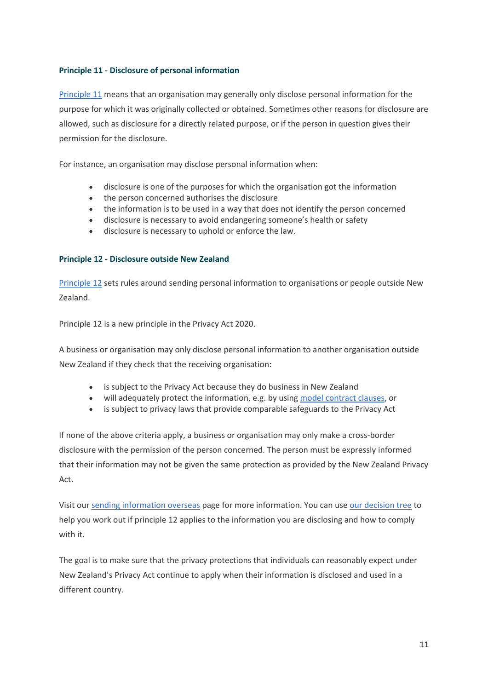#### **Principle 11 - Disclosure of personal information**

[Principle 11](https://www.legislation.govt.nz/act/public/2020/0031/latest/LMS23342.html?search=sw_096be8ed81aa9027_principle+11_25_se&p=1&sr=6) means that an organisation may generally only disclose personal information for the purpose for which it was originally collected or obtained. Sometimes other reasons for disclosure are allowed, such as disclosure for a directly related purpose, or if the person in question gives their permission for the disclosure.

For instance, an organisation may disclose personal information when:

- disclosure is one of the purposes for which the organisation got the information
- the person concerned authorises the disclosure
- the information is to be used in a way that does not identify the person concerned
- disclosure is necessary to avoid endangering someone's health or safety
- disclosure is necessary to uphold or enforce the law.

#### **Principle 12 - Disclosure outside New Zealand**

[Principle 12](http://www.legislation.govt.nz/act/public/2020/0031/latest/LMS23376.html) sets rules around sending personal information to organisations or people outside New Zealand.

Principle 12 is a new principle in the Privacy Act 2020.

A business or organisation may only disclose personal information to another organisation outside New Zealand if they check that the receiving organisation:

- is subject to the Privacy Act because they do business in New Zealand
- will adequately protect the information, e.g. by using [model contract clauses,](https://www.privacy.org.nz/publications/guidance-resources/disclosing-personal-information-outside-new-zealand/) or
- is subject to privacy laws that provide comparable safeguards to the Privacy Act

If none of the above criteria apply, a business or organisation may only make a cross-border disclosure with the permission of the person concerned. The person must be expressly informed that their information may not be given the same protection as provided by the New Zealand Privacy Act.

Visit our [sending information overseas](https://www.privacy.org.nz/responsibilities/disclosing-personal-information-outside-new-zealand/) page for more information. You can use [our decision tree](https://www.privacy.org.nz/responsibilities/disclosing-personal-information-outside-new-zealand/decision-tree-page/) to help you work out if principle 12 applies to the information you are disclosing and how to comply with it.

The goal is to make sure that the privacy protections that individuals can reasonably expect under New Zealand's Privacy Act continue to apply when their information is disclosed and used in a different country.